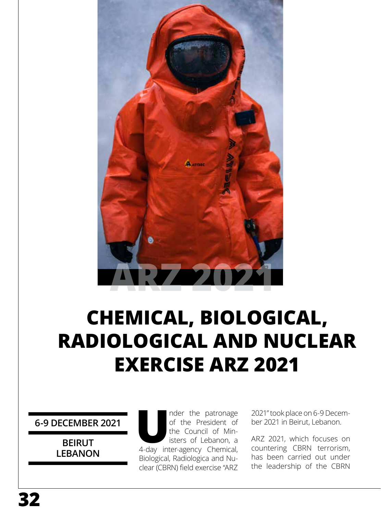

## **CHEMICAL, BIOLOGICAL, RADIOLOGICAL AND NUCLEAR EXERCISE ARZ 2021**

**6-9 DECEMBER 2021**

**BEIRUT LEBANON** nder the patronage<br>
of the President of<br>
the Council of Ministers of Lebanon, a<br>
4-day inter-agency Chemical, of the President of the Council of Ministers of Lebanon, a Biological, Radiologica and Nuclear (CBRN) field exercise "ARZ

2021" took place on 6-9 December 2021 in Beirut, Lebanon.

ARZ 2021, which focuses on countering CBRN terrorism, has been carried out under the leadership of the CBRN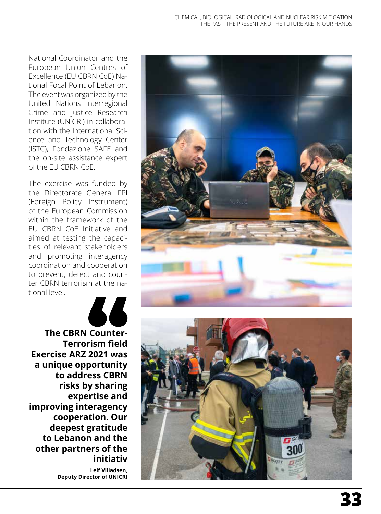National Coordinator and the European Union Centres of Excellence (EU CBRN CoE) Na tional Focal Point of Lebanon. The event was organized by the United Nations Interregional Crime and Justice Research Institute (UNICRI) in collabora tion with the International Sci ence and Technology Center (ISTC), Fondazione SAFE and the on-site assistance expert of the EU CBRN CoE.

The exercise was funded by the Directorate General FPI (Foreign Policy Instrument) of the European Commission within the framework of the EU CBRN CoE Initiative and aimed at testing the capaci ties of relevant stakeholders and promoting interagency coordination and cooperation to prevent, detect and coun ter CBRN terrorism at the na tional level.



**The CBRN Counter-Terrorism field Exercise ARZ 2021 was a unique opportunity to address CBRN risks by sharing expertise and improving interagency cooperation. Our deepest gratitude to Lebanon and the other partners of the initiativ**

**Leif Villadsen, Deputy Director of UNICRI** 



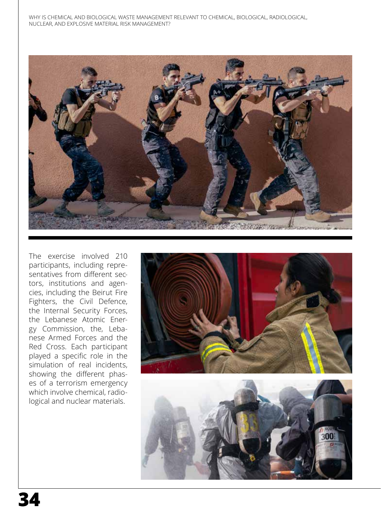

The exercise involved 210 participants, including representatives from different sectors, institutions and agencies, including the Beirut Fire Fighters, the Civil Defence, the Internal Security Forces, the Lebanese Atomic Energy Commission, the, Lebanese Armed Forces and the Red Cross. Each participant played a specific role in the simulation of real incidents, showing the different phases of a terrorism emergency which involve chemical, radiological and nuclear materials.

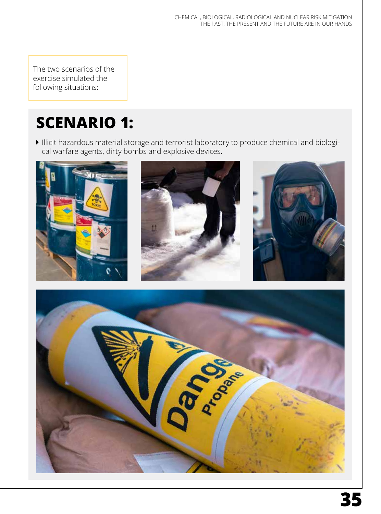The two scenarios of the exercise simulated the following situations:

## **SCENARIO 1:**

Illicit hazardous material storage and terrorist laboratory to produce chemical and biological warfare agents, dirty bombs and explosive devices.



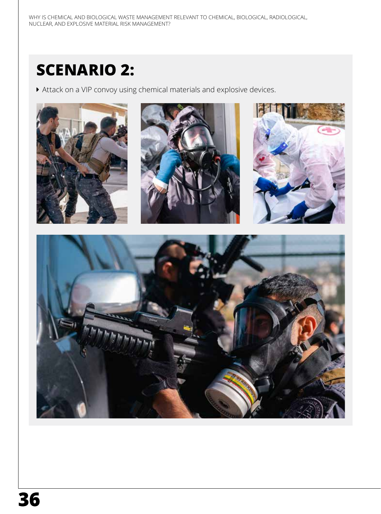## **SCENARIO 2:**

Attack on a VIP convoy using chemical materials and explosive devices.

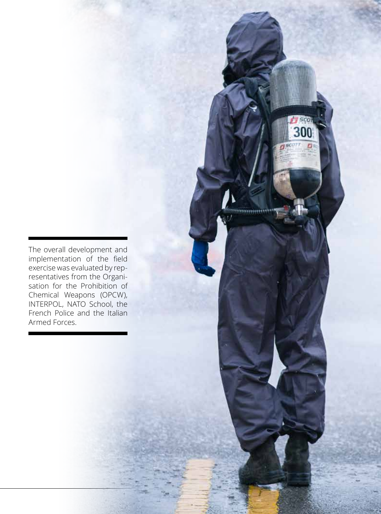The overall development and implementation of the field exercise was evaluated by representatives from the Organisation for the Prohibition of Chemical Weapons (OPCW), INTERPOL, NATO School, the French Police and the Italian Armed Forces.

**37**

CHEMICAL, BIOLOGICAL, RADIOLOGICAL AND NUCLEAR RISK MITIGATION

immu

THE PAST, THE PAST, THE PAST, THE PAST, THE FUTURE ARE IN OUR HANDS

SCO 300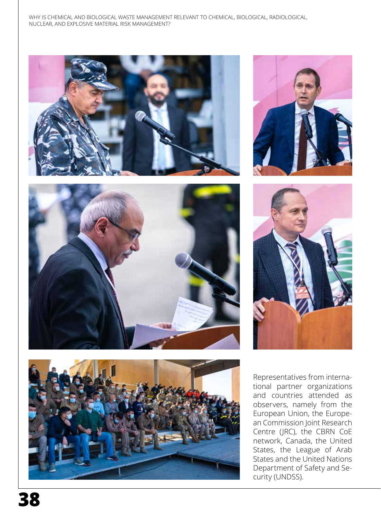









Representatives from interna tional partner organizations and countries attended as observers, namely from the European Union, the Europe an Commission Joint Research Centre (JRC), the CBRN CoE network, Canada, the United States, the League of Arab States and the United Nations Department of Safety and Se curity (UNDSS).